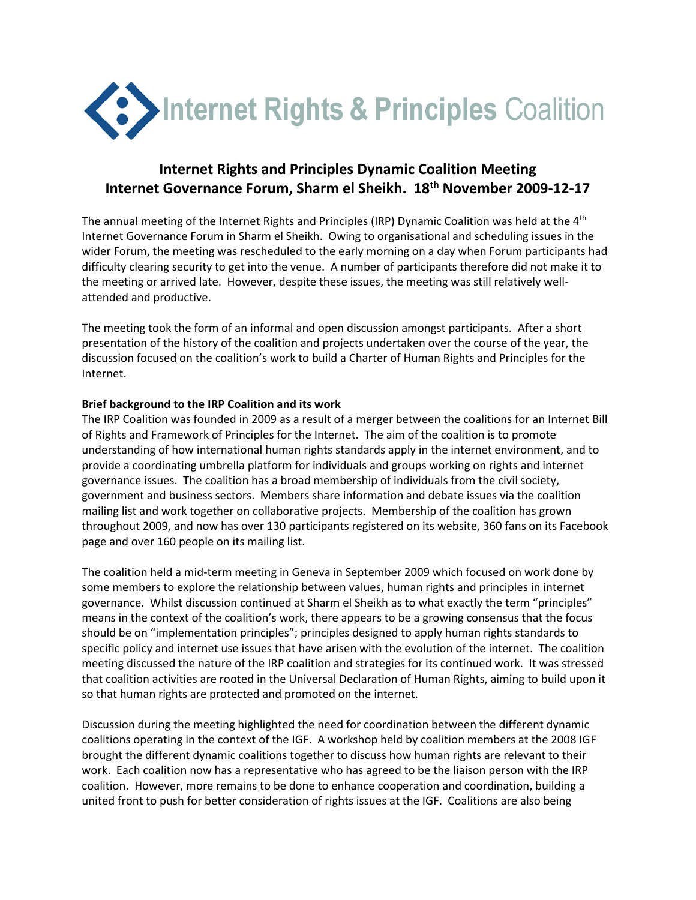

## **Internet Rights and Principles Dynamic Coalition Meeting Internet Governance Forum, Sharm el Sheikh. 18th November 2009-12-17**

The annual meeting of the Internet Rights and Principles (IRP) Dynamic Coalition was held at the 4<sup>th</sup> Internet Governance Forum in Sharm el Sheikh. Owing to organisational and scheduling issues in the wider Forum, the meeting was rescheduled to the early morning on a day when Forum participants had difficulty clearing security to get into the venue. A number of participants therefore did not make it to the meeting or arrived late. However, despite these issues, the meeting was still relatively wellattended and productive.

The meeting took the form of an informal and open discussion amongst participants. After a short presentation of the history of the coalition and projects undertaken over the course of the year, the discussion focused on the coalition's work to build a Charter of Human Rights and Principles for the Internet.

## **Brief background to the IRP Coalition and its work**

The IRP Coalition was founded in 2009 as a result of a merger between the coalitions for an Internet Bill of Rights and Framework of Principles for the Internet. The aim of the coalition is to promote understanding of how international human rights standards apply in the internet environment, and to provide a coordinating umbrella platform for individuals and groups working on rights and internet governance issues. The coalition has a broad membership of individuals from the civil society, government and business sectors. Members share information and debate issues via the coalition mailing list and work together on collaborative projects. Membership of the coalition has grown throughout 2009, and now has over 130 participants registered on its website, 360 fans on its Facebook page and over 160 people on its mailing list.

The coalition held a mid-term meeting in Geneva in September 2009 which focused on work done by some members to explore the relationship between values, human rights and principles in internet governance. Whilst discussion continued at Sharm el Sheikh as to what exactly the term "principles" means in the context of the coalition's work, there appears to be a growing consensus that the focus should be on "implementation principles"; principles designed to apply human rights standards to specific policy and internet use issues that have arisen with the evolution of the internet. The coalition meeting discussed the nature of the IRP coalition and strategies for its continued work. It was stressed that coalition activities are rooted in the Universal Declaration of Human Rights, aiming to build upon it so that human rights are protected and promoted on the internet.

Discussion during the meeting highlighted the need for coordination between the different dynamic coalitions operating in the context of the IGF. A workshop held by coalition members at the 2008 IGF brought the different dynamic coalitions together to discuss how human rights are relevant to their work. Each coalition now has a representative who has agreed to be the liaison person with the IRP coalition. However, more remains to be done to enhance cooperation and coordination, building a united front to push for better consideration of rights issues at the IGF. Coalitions are also being